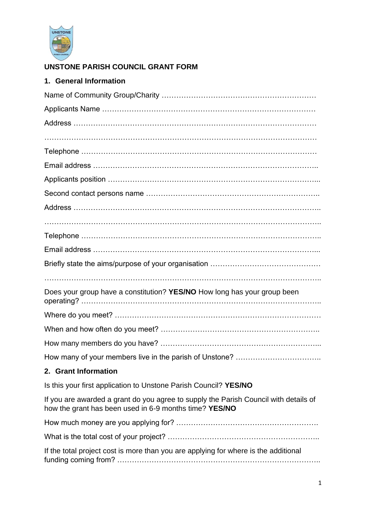

## **UNSTONE PARISH COUNCIL GRANT FORM**

| 1. General Information                                                                                                                         |
|------------------------------------------------------------------------------------------------------------------------------------------------|
|                                                                                                                                                |
|                                                                                                                                                |
|                                                                                                                                                |
|                                                                                                                                                |
|                                                                                                                                                |
|                                                                                                                                                |
|                                                                                                                                                |
|                                                                                                                                                |
|                                                                                                                                                |
|                                                                                                                                                |
|                                                                                                                                                |
|                                                                                                                                                |
|                                                                                                                                                |
|                                                                                                                                                |
| Does your group have a constitution? YES/NO How long has your group been                                                                       |
|                                                                                                                                                |
|                                                                                                                                                |
|                                                                                                                                                |
|                                                                                                                                                |
| 2. Grant Information                                                                                                                           |
| Is this your first application to Unstone Parish Council? YES/NO                                                                               |
| If you are awarded a grant do you agree to supply the Parish Council with details of<br>how the grant has been used in 6-9 months time? YES/NO |
|                                                                                                                                                |
|                                                                                                                                                |
| If the total project cost is more than you are applying for where is the additional                                                            |

funding coming from? ………………………………………………………………………..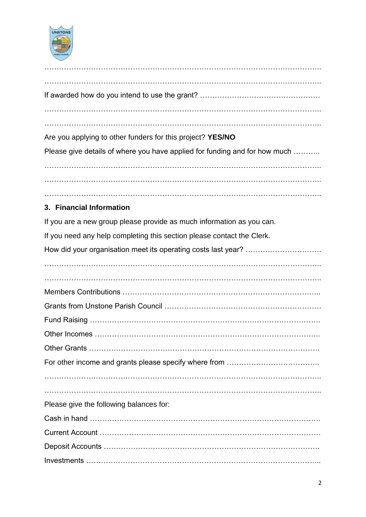

| Are you applying to other funders for this project? YES/NO                 |
|----------------------------------------------------------------------------|
| Please give details of where you have applied for funding and for how much |
|                                                                            |
|                                                                            |
|                                                                            |
| 3. Financial Information                                                   |
| If you are a new group please provide as much information as you can.      |
| If you need any help completing this section please contact the Clerk.     |
|                                                                            |
|                                                                            |
|                                                                            |
|                                                                            |
|                                                                            |
|                                                                            |
| <b>Other Incomes</b>                                                       |
|                                                                            |
|                                                                            |
|                                                                            |
|                                                                            |
|                                                                            |
| Please give the following balances for:                                    |
|                                                                            |
|                                                                            |
|                                                                            |
|                                                                            |
|                                                                            |